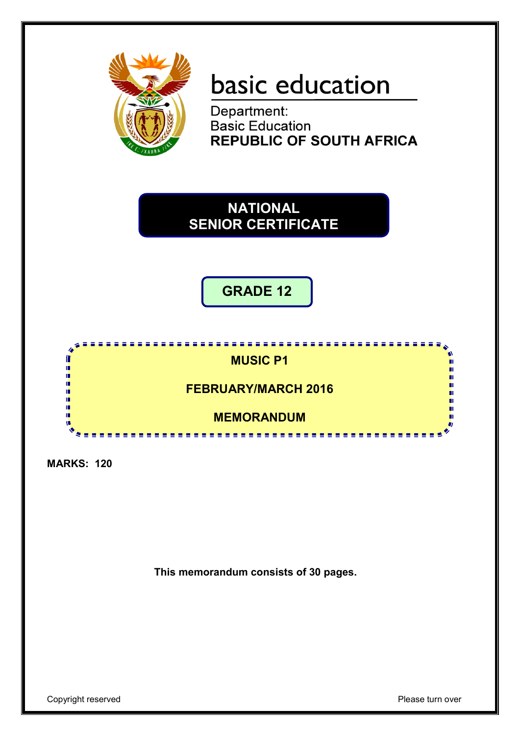

# basic education

Department:<br>Basic Education **REPUBLIC OF SOUTH AFRICA** 

## **NATIONAL SENIOR CERTIFICATE**

**GRADE 12**



**MARKS: 120**

**This memorandum consists of 30 pages.**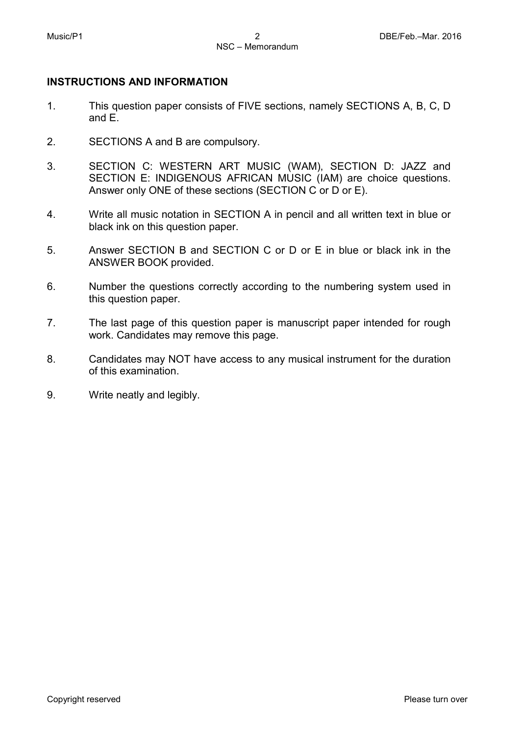### **INSTRUCTIONS AND INFORMATION**

- 1. This question paper consists of FIVE sections, namely SECTIONS A, B, C, D and E.
- 2. SECTIONS A and B are compulsory.
- 3. SECTION C: WESTERN ART MUSIC (WAM), SECTION D: JAZZ and SECTION E: INDIGENOUS AFRICAN MUSIC (IAM) are choice questions. Answer only ONE of these sections (SECTION C or D or E).
- 4. Write all music notation in SECTION A in pencil and all written text in blue or black ink on this question paper.
- 5. Answer SECTION B and SECTION C or D or E in blue or black ink in the ANSWER BOOK provided.
- 6. Number the questions correctly according to the numbering system used in this question paper.
- 7. The last page of this question paper is manuscript paper intended for rough work. Candidates may remove this page.
- 8. Candidates may NOT have access to any musical instrument for the duration of this examination.
- 9. Write neatly and legibly.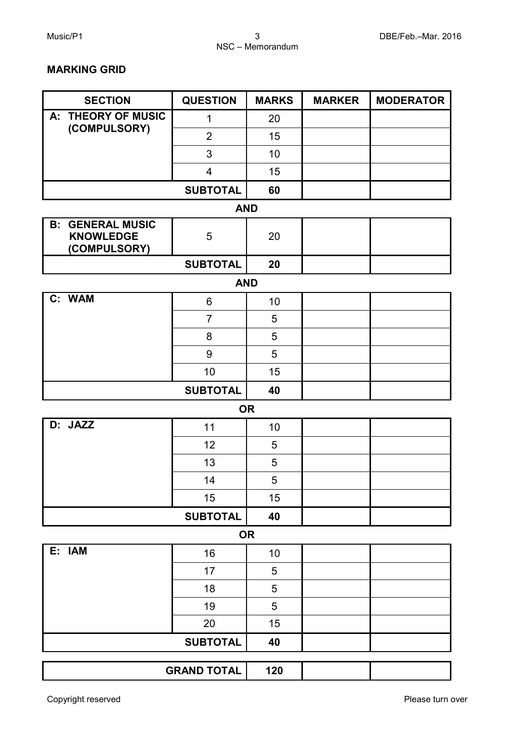#### **MARKING GRID**

| <b>SECTION</b>                                              | <b>QUESTION</b>         | <b>MARKS</b> | <b>MARKER</b> | <b>MODERATOR</b> |
|-------------------------------------------------------------|-------------------------|--------------|---------------|------------------|
| A: THEORY OF MUSIC                                          | $\mathbf 1$             | 20           |               |                  |
| (COMPULSORY)                                                | $\overline{2}$          | 15           |               |                  |
|                                                             | 3                       | 10           |               |                  |
|                                                             | $\overline{\mathbf{4}}$ | 15           |               |                  |
|                                                             | <b>SUBTOTAL</b>         | 60           |               |                  |
|                                                             | <b>AND</b>              |              |               |                  |
| <b>B: GENERAL MUSIC</b><br><b>KNOWLEDGE</b><br>(COMPULSORY) | 5                       | 20           |               |                  |
|                                                             | <b>SUBTOTAL</b>         | 20           |               |                  |
|                                                             |                         | <b>AND</b>   |               |                  |
| C: WAM                                                      | 6                       | 10           |               |                  |
|                                                             | $\overline{7}$          | 5            |               |                  |
|                                                             | 8                       | 5            |               |                  |
|                                                             | $\boldsymbol{9}$        | 5            |               |                  |
|                                                             | 10                      | 15           |               |                  |
|                                                             | <b>SUBTOTAL</b>         | 40           |               |                  |
|                                                             |                         | <b>OR</b>    |               |                  |
| D: JAZZ                                                     | 11                      | 10           |               |                  |
|                                                             | 12                      | 5            |               |                  |
|                                                             | 13                      | 5            |               |                  |
|                                                             | 14                      | $\sqrt{5}$   |               |                  |
|                                                             | 15                      | 15           |               |                  |
|                                                             | <b>SUBTOTAL</b>         | 40           |               |                  |
|                                                             |                         | <b>OR</b>    |               |                  |
| E: IAM                                                      | 16                      | 10           |               |                  |
|                                                             | 17                      | $\sqrt{5}$   |               |                  |
|                                                             | 18                      | $\sqrt{5}$   |               |                  |
|                                                             | 19                      | $\sqrt{5}$   |               |                  |
|                                                             | 20<br><b>SUBTOTAL</b>   | 15           |               |                  |
|                                                             | 40                      |              |               |                  |
|                                                             | <b>GRAND TOTAL</b>      | 120          |               |                  |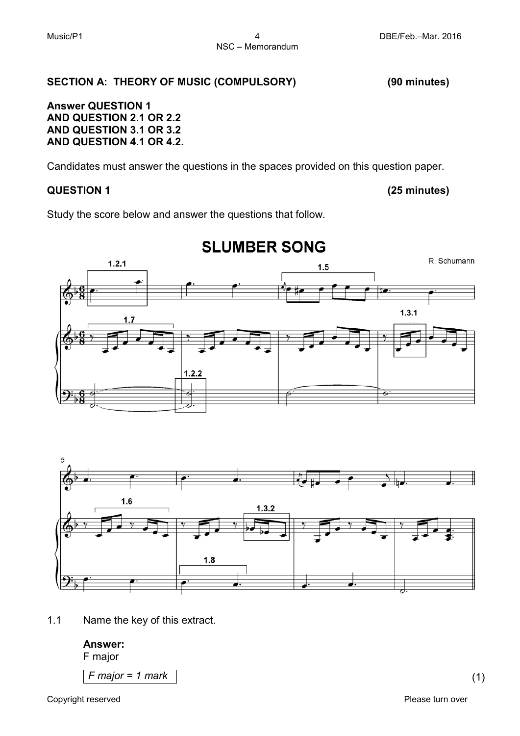#### **SECTION A: THEORY OF MUSIC (COMPULSORY) (90 minutes)**

#### **Answer QUESTION 1 AND QUESTION 2.1 OR 2.2 AND QUESTION 3.1 OR 3.2 AND QUESTION 4.1 OR 4.2.**

Candidates must answer the questions in the spaces provided on this question paper.

#### **QUESTION 1 (25 minutes)**

Study the score below and answer the questions that follow.



## **SLUMBER SONG**

 $1.6$  $1.3.2$  $1.8$ 

1.1 Name the key of this extract.

#### **Answer:**

F major

*F major = 1 mark* (1)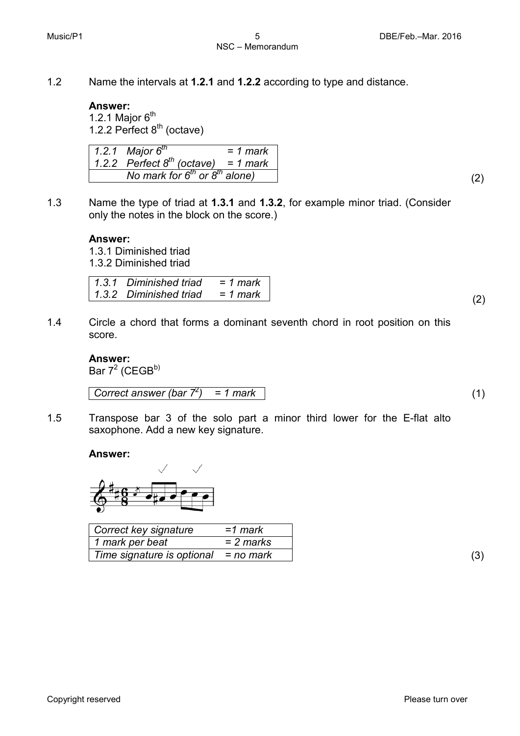1.2 Name the intervals at **1.2.1** and **1.2.2** according to type and distance.

#### **Answer:**

1.2.1 Major  $6<sup>th</sup>$ 1.2.2 Perfect  $8<sup>th</sup>$  (octave)

*1.2.1 1.2.2 Perfect 8th (octave) = 1 mark Major 6th = 1 mark No mark for 6th or 8th alone)* (2)

1.3 Name the type of triad at **1.3.1** and **1.3.2**, for example minor triad. (Consider only the notes in the block on the score.)

#### **Answer:**

1.3.1 Diminished triad 1.3.2 Diminished triad

| $\vert$ 1.3.1 Diminished triad = 1 mark |  |
|-----------------------------------------|--|
| $1.3.2$ Diminished triad = 1 mark       |  |
|                                         |  |

1.4 Circle a chord that forms a dominant seventh chord in root position on this score.

#### **Answer:**

Bar  $7^2$  (CEGB<sup>b)</sup>

*Correct answer (bar 7<sup>2</sup>) ) = 1 mark* (1)

1.5 Transpose bar 3 of the solo part a minor third lower for the E-flat alto saxophone. Add a new key signature.

#### **Answer:**



| Correct key signature      | =1 mark   |
|----------------------------|-----------|
| 1 mark per beat            | = 2 marks |
| Time signature is optional | = no mark |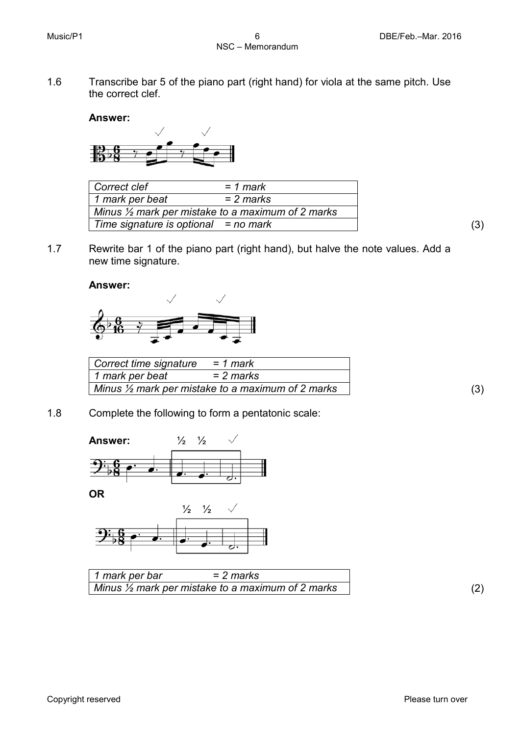1.6 Transcribe bar 5 of the piano part (right hand) for viola at the same pitch. Use the correct clef.

#### **Answer:**



| Correct clef                           | $= 1$ mark                                                   |
|----------------------------------------|--------------------------------------------------------------|
| 1 mark per beat                        | = 2 marks                                                    |
|                                        | Minus $\frac{1}{2}$ mark per mistake to a maximum of 2 marks |
| Time signature is optional $=$ no mark |                                                              |

1.7 Rewrite bar 1 of the piano part (right hand), but halve the note values. Add a new time signature.

**Answer:**



| Correct time signature | = 1 mark                                                     |  |
|------------------------|--------------------------------------------------------------|--|
| 1 mark per beat        | = 2 marks                                                    |  |
|                        | Minus $\frac{1}{2}$ mark per mistake to a maximum of 2 marks |  |

1.8 Complete the following to form a pentatonic scale:



**OR**



| 1 mark per bar | = 2 marks                                                    |  |
|----------------|--------------------------------------------------------------|--|
|                | Minus $\frac{1}{2}$ mark per mistake to a maximum of 2 marks |  |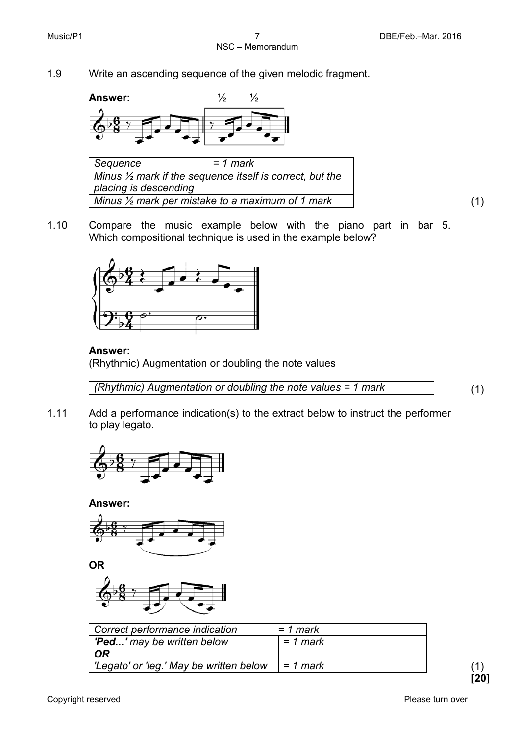1.9 Write an ascending sequence of the given melodic fragment.



*Sequence = 1 mark Minus ½ mark if the sequence itself is correct, but the placing is descending Minus ½ mark per mistake to a maximum of 1 mark* (1)

1.10 Compare the music example below with the piano part in bar 5. Which compositional technique is used in the example below?



#### **Answer:**

(Rhythmic) Augmentation or doubling the note values

*(Rhythmic) Augmentation or doubling the note values = 1 mark* (1)

1.11 Add a performance indication(s) to the extract below to instruct the performer to play legato.



**Answer:**







| Correct performance indication          | = 1 mark   |  |
|-----------------------------------------|------------|--|
| <b>'Ped'</b> may be written below       | $= 1$ mark |  |
| 0R                                      |            |  |
| 'Legato' or 'leg.' May be written below | $= 1$ mark |  |

**[20]**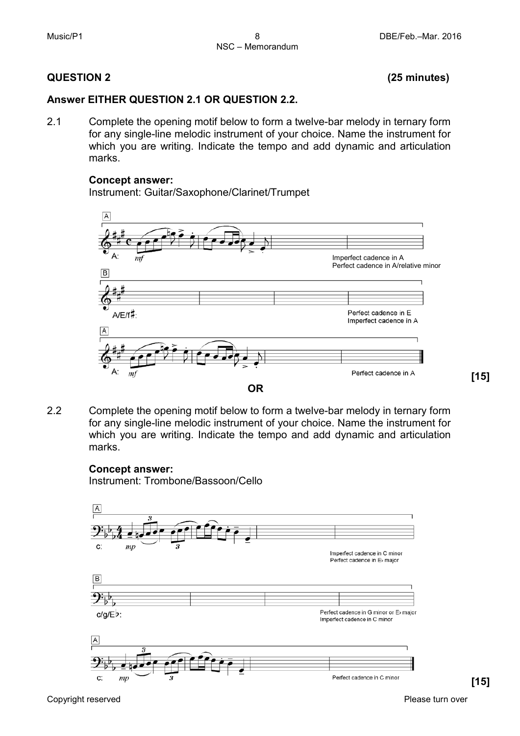#### **QUESTION 2 (25 minutes)**

#### **Answer EITHER QUESTION 2.1 OR QUESTION 2.2.**

2.1 Complete the opening motif below to form a twelve-bar melody in ternary form for any single-line melodic instrument of your choice. Name the instrument for which you are writing. Indicate the tempo and add dynamic and articulation marks.

#### **Concept answer:**

Instrument: Guitar/Saxophone/Clarinet/Trumpet



2.2 Complete the opening motif below to form a twelve-bar melody in ternary form for any single-line melodic instrument of your choice. Name the instrument for which you are writing. Indicate the tempo and add dynamic and articulation marks.

#### **Concept answer:**

Instrument: Trombone/Bassoon/Cello



**[15]**

Copyright reserved **Please turn over the Copyright reserved** Please turn over

**[15]**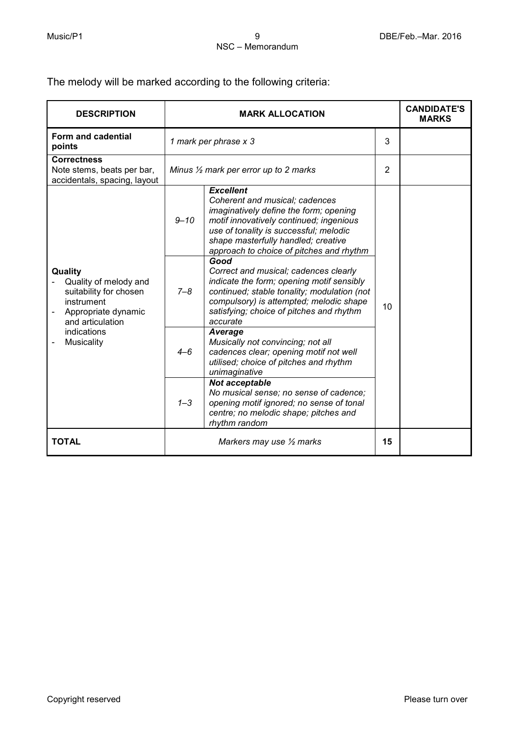The melody will be marked according to the following criteria:

| <b>DESCRIPTION</b>                                                                                                  | <b>MARK ALLOCATION</b>                           |                                                                                                                                                                                                                                                                      |                | <b>CANDIDATE'S</b><br><b>MARKS</b> |
|---------------------------------------------------------------------------------------------------------------------|--------------------------------------------------|----------------------------------------------------------------------------------------------------------------------------------------------------------------------------------------------------------------------------------------------------------------------|----------------|------------------------------------|
| Form and cadential<br>points                                                                                        | 1 mark per phrase x 3                            |                                                                                                                                                                                                                                                                      | 3              |                                    |
| <b>Correctness</b><br>Note stems, beats per bar,<br>accidentals, spacing, layout                                    | Minus $\frac{1}{2}$ mark per error up to 2 marks |                                                                                                                                                                                                                                                                      | $\overline{2}$ |                                    |
|                                                                                                                     | $9 - 10$                                         | <b>Excellent</b><br>Coherent and musical; cadences<br>imaginatively define the form; opening<br>motif innovatively continued; ingenious<br>use of tonality is successful; melodic<br>shape masterfully handled; creative<br>approach to choice of pitches and rhythm |                |                                    |
| Quality<br>Quality of melody and<br>suitability for chosen<br>instrument<br>Appropriate dynamic<br>and articulation | $7 - 8$                                          | Good<br>Correct and musical; cadences clearly<br>indicate the form; opening motif sensibly<br>continued; stable tonality; modulation (not<br>compulsory) is attempted; melodic shape<br>satisfying; choice of pitches and rhythm<br>accurate                         | 10             |                                    |
| indications<br>Musicality                                                                                           | $4 - 6$                                          | Average<br>Musically not convincing; not all<br>cadences clear; opening motif not well<br>utilised; choice of pitches and rhythm<br>unimaginative                                                                                                                    |                |                                    |
|                                                                                                                     | $1 - 3$                                          | Not acceptable<br>No musical sense; no sense of cadence;<br>opening motif ignored; no sense of tonal<br>centre; no melodic shape; pitches and<br>rhythm random                                                                                                       |                |                                    |
| <b>TOTAL</b>                                                                                                        |                                                  | Markers may use $\frac{1}{2}$ marks                                                                                                                                                                                                                                  | 15             |                                    |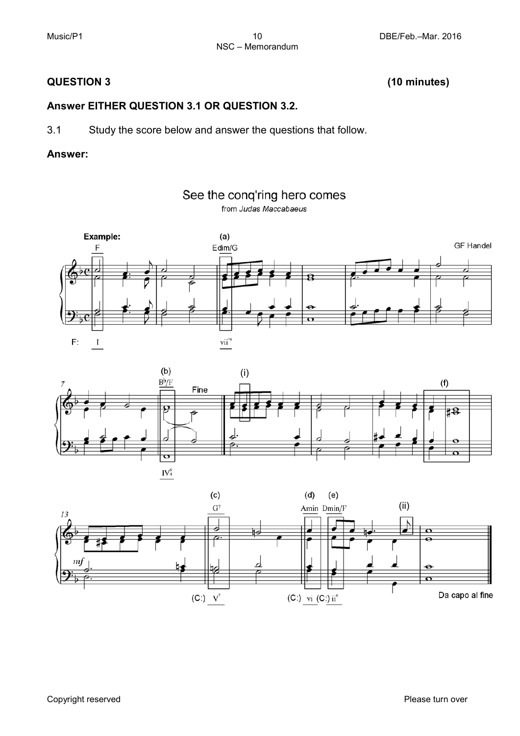#### **QUESTION 3 (10 minutes)**

#### **Answer EITHER QUESTION 3.1 OR QUESTION 3.2.**

3.1 Study the score below and answer the questions that follow.

#### **Answer:**







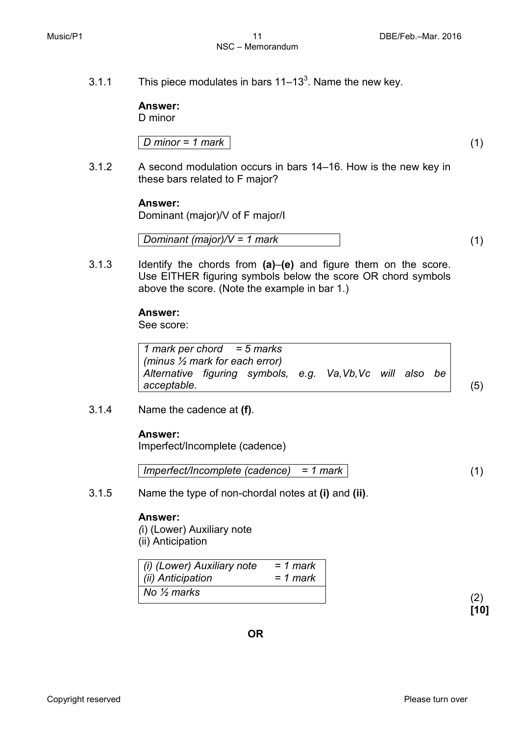3.1.1 This piece modulates in bars  $11-13<sup>3</sup>$ . Name the new key.

**Answer:** D minor

*D minor = 1 mark* (1)

3.1.2 A second modulation occurs in bars 14–16. How is the new key in these bars related to F major?

#### **Answer:**

Dominant (major)/V of F major/I

$$
Domain (major)/V = 1 mark
$$
\n(1)

3.1.3 Identify the chords from **(a)**–**(e)** and figure them on the score. Use EITHER figuring symbols below the score OR chord symbols above the score. (Note the example in bar 1.)

#### **Answer:**

See score:

| 1 mark per chord = $5$ marks                            |  |  |  |    |     |
|---------------------------------------------------------|--|--|--|----|-----|
| (minus $\frac{1}{2}$ mark for each error)               |  |  |  |    |     |
| Alternative figuring symbols, e.g. Va, Vb, Vc will also |  |  |  | be |     |
| acceptable.                                             |  |  |  |    | (5) |

3.1.4 Name the cadence at **(f)**.

#### **Answer:**

Imperfect/Incomplete (cadence)

$$
Imperfect/Incomplete (cadence) = 1 mark
$$
 (1)

3.1.5 Name the type of non-chordal notes at **(i)** and **(ii)**.

#### **Answer:**

*(*i) (Lower) Auxiliary note (ii) Anticipation

| (i) (Lower) Auxiliary note | $= 1$ mark |
|----------------------------|------------|
| (ii) Anticipation          | = 1 mark   |
| No $\frac{1}{2}$ marks     |            |

**[10]**

Copyright reserved **Please turn over the Copyright reserved** Please turn over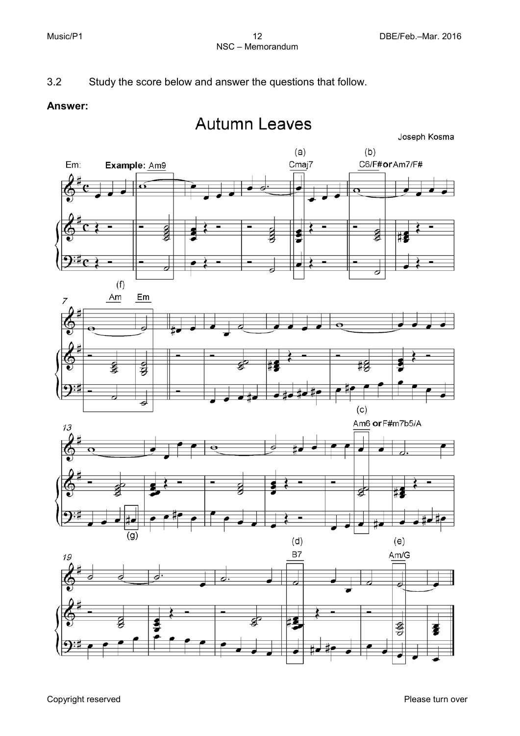### 3.2 Study the score below and answer the questions that follow.

#### **Answer:**

## **Autumn Leaves**





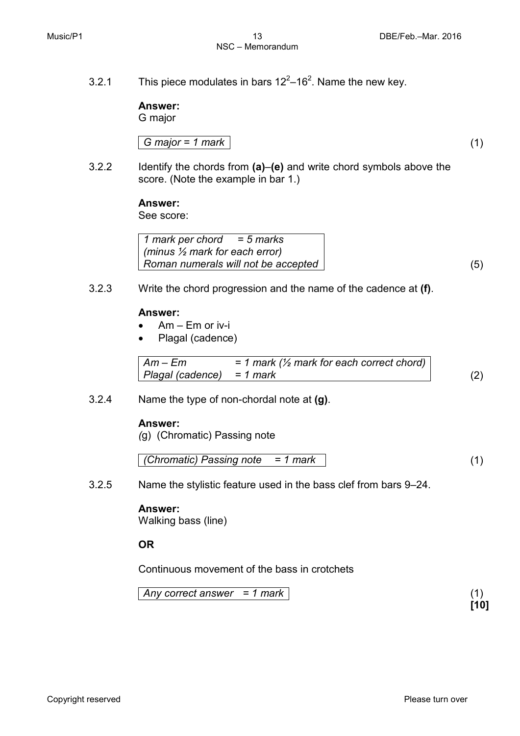## NSC – Memorandum

3.2.1 This piece modulates in bars  $12^2-16^2$ . Name the new key.

**Answer:**

G major

$$
G \text{ major} = 1 \text{ mark} \tag{1}
$$

3.2.2 Identify the chords from **(a)**–**(e)** and write chord symbols above the score. (Note the example in bar 1.)

#### **Answer:**

See score:

*1 mark per chord = 5 marks (minus ½ mark for each error) Roman numerals will not be accepted* (5)

3.2.3 Write the chord progression and the name of the cadence at **(f)**.

#### **Answer:**

- Am Em or iv-i
- Plagal (cadence)

| $Am-Em$                   | $= 1$ mark ( $\frac{1}{2}$ mark for each correct chord) |     |
|---------------------------|---------------------------------------------------------|-----|
| Plagal (cadence) = 1 mark |                                                         | (2) |

3.2.4 Name the type of non-chordal note at **(g)**.

#### **Answer:**

*(*g) (Chromatic) Passing note

$$
(Chromatic) Passing note = 1 mark
$$
\n
$$
(1)
$$

3.2.5 Name the stylistic feature used in the bass clef from bars 9–24.

#### **Answer:**

Walking bass (line)

**OR**

Continuous movement of the bass in crotchets

*Any correct answer = 1 mark* (1)

**[10]**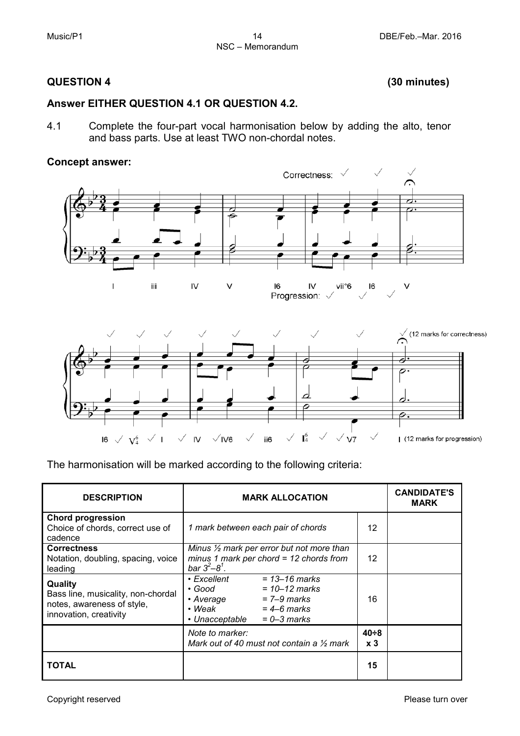#### **QUESTION 4 (30 minutes)**

#### **Answer EITHER QUESTION 4.1 OR QUESTION 4.2.**

4.1 Complete the four-part vocal harmonisation below by adding the alto, tenor and bass parts. Use at least TWO non-chordal notes.

#### **Concept answer:**

16  $\checkmark$  $V_4^6$ 



 $\checkmark$  $I<sub>4</sub>$ 

 $V<sub>7</sub>$ 

The harmonisation will be marked according to the following criteria:

IV

 $\overline{\phantom{a}}$ 

 $\sqrt{N6}$ 

 $\checkmark$ 

ii6

| <b>DESCRIPTION</b>                                                                                    | <b>MARK ALLOCATION</b>                                                                                                                                                        | <b>CANDIDATE'S</b><br><b>MARK</b> |  |
|-------------------------------------------------------------------------------------------------------|-------------------------------------------------------------------------------------------------------------------------------------------------------------------------------|-----------------------------------|--|
| <b>Chord progression</b><br>Choice of chords, correct use of<br>cadence                               | 1 mark between each pair of chords                                                                                                                                            |                                   |  |
| <b>Correctness</b><br>Notation, doubling, spacing, voice<br>leading                                   | Minus $\frac{1}{2}$ mark per error but not more than<br>minus 1 mark per chord = $12$ chords from<br>$bar 3^2 - 8^1$ .                                                        | 12                                |  |
| Quality<br>Bass line, musicality, non-chordal<br>notes, awareness of style,<br>innovation, creativity | $\bullet$ Excellent<br>$= 13 - 16$ marks<br>• Good<br>$= 10 - 12$ marks<br>$= 7 - 9$ marks<br>• Average<br>$\cdot$ Weak<br>$=$ 4–6 marks<br>$= 0 - 3$ marks<br>• Unacceptable | 16                                |  |
|                                                                                                       | Note to marker:<br>Mark out of 40 must not contain a $\frac{1}{2}$ mark                                                                                                       | $40 + 8$<br>x <sub>3</sub>        |  |
| TOTAL                                                                                                 |                                                                                                                                                                               | 15                                |  |

| (12 marks for progression)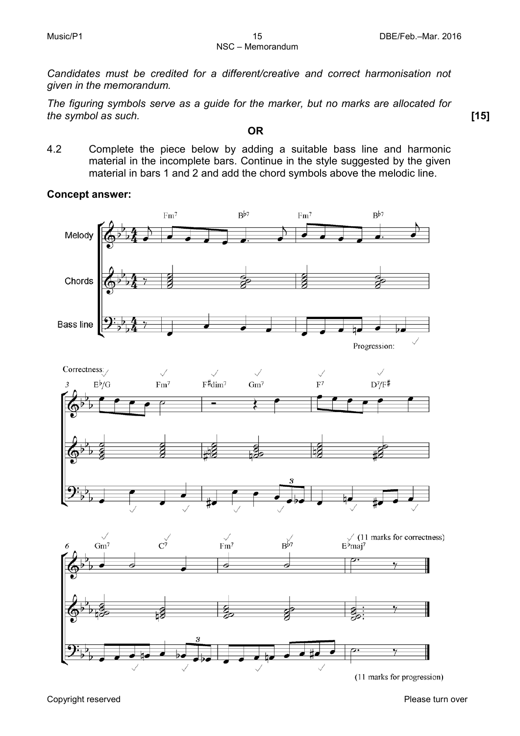*Candidates must be credited for a different/creative and correct harmonisation not given in the memorandum.*

*The figuring symbols serve as a guide for the marker, but no marks are allocated for the symbol as such.* **[15]**

**OR**

4.2 Complete the piece below by adding a suitable bass line and harmonic material in the incomplete bars. Continue in the style suggested by the given material in bars 1 and 2 and add the chord symbols above the melodic line.

#### **Concept answer:**



Copyright reserved **Please turn over the Copyright reserved** Please turn over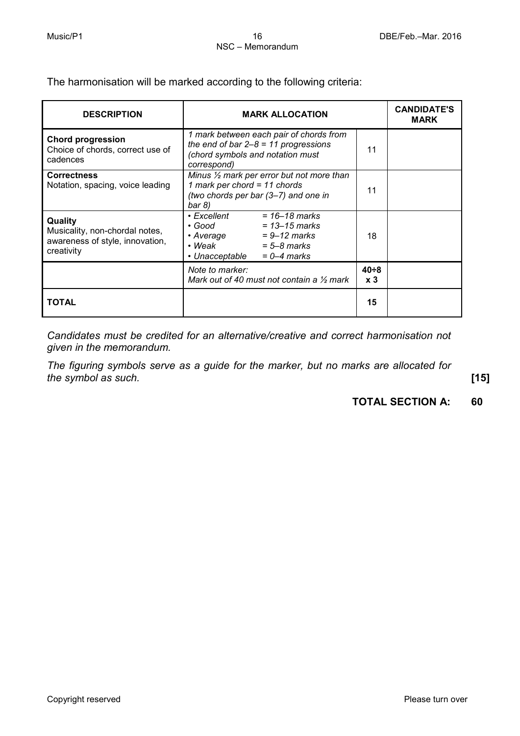The harmonisation will be marked according to the following criteria:

| <b>DESCRIPTION</b>                                                                         | <b>MARK ALLOCATION</b>                                                                                                                                             |                            | <b>CANDIDATE'S</b><br><b>MARK</b> |
|--------------------------------------------------------------------------------------------|--------------------------------------------------------------------------------------------------------------------------------------------------------------------|----------------------------|-----------------------------------|
| <b>Chord progression</b><br>Choice of chords, correct use of<br>cadences                   | 1 mark between each pair of chords from<br>the end of bar $2-8 = 11$ progressions<br>(chord symbols and notation must<br>correspond)                               |                            |                                   |
| <b>Correctness</b><br>Notation, spacing, voice leading                                     | Minus $\frac{1}{2}$ mark per error but not more than<br>1 mark per chord = $11$ chords<br>(two chords per bar (3–7) and one in<br>bar 8)                           | 11                         |                                   |
| Quality<br>Musicality, non-chordal notes,<br>awareness of style, innovation,<br>creativity | $= 16 - 18$ marks<br>• Excellent<br>• Good<br>$= 13 - 15$ marks<br>$= 9 - 12$ marks<br>• Average<br>• Weak<br>$= 5 - 8$ marks<br>• Unacceptable<br>$= 0 - 4$ marks | 18                         |                                   |
|                                                                                            | Note to marker:<br>Mark out of 40 must not contain a $\frac{1}{2}$ mark                                                                                            | $40 + 8$<br>x <sub>3</sub> |                                   |
| TOTAL                                                                                      |                                                                                                                                                                    | 15                         |                                   |

*Candidates must be credited for an alternative/creative and correct harmonisation not given in the memorandum.*

*The figuring symbols serve as a guide for the marker, but no marks are allocated for the symbol as such.* **[15]**

#### **TOTAL SECTION A: 60**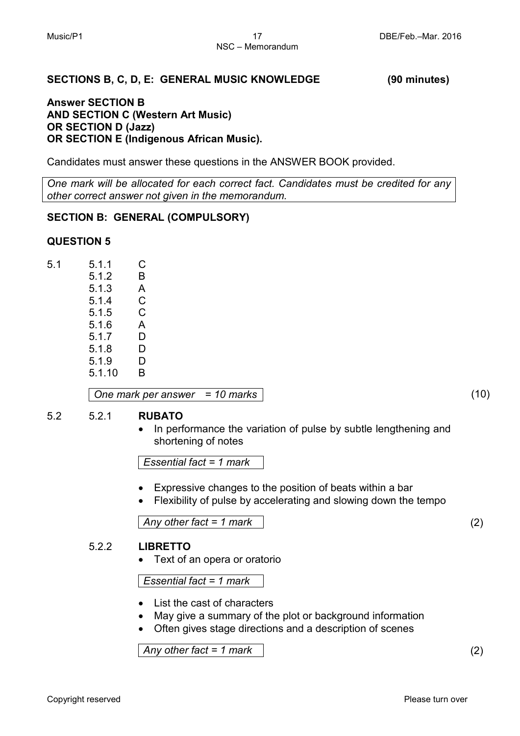#### **SECTIONS B, C, D, E: GENERAL MUSIC KNOWLEDGE (90 minutes)**

#### **Answer SECTION B AND SECTION C (Western Art Music) OR SECTION D (Jazz) OR SECTION E (Indigenous African Music).**

Candidates must answer these questions in the ANSWER BOOK provided.

*One mark will be allocated for each correct fact. Candidates must be credited for any other correct answer not given in the memorandum.*

#### **SECTION B: GENERAL (COMPULSORY)**

#### **QUESTION 5**

| 5.1.1  | С |
|--------|---|
| 5.1.2  | B |
| 5.1.3  | Α |
| 5.1.4  | С |
| 5.1.5  | C |
| 5.1.6  | A |
| 5.1.7  | D |
| 5.1.8  | D |
| 5.1.9  | D |
| 5.1.10 | B |
|        |   |

*One mark per answer = 10 marks* (10)

#### 5.2 5.2.1 **RUBATO**

• In performance the variation of pulse by subtle lengthening and shortening of notes

*Essential fact = 1 mark*

- Expressive changes to the position of beats within a bar
- Flexibility of pulse by accelerating and slowing down the tempo

*Any other fact = 1 mark* (2)

#### 5.2.2 **LIBRETTO**

• Text of an opera or oratorio

*Essential fact = 1 mark*

- List the cast of characters
- May give a summary of the plot or background information
- Often gives stage directions and a description of scenes

*Any other fact = 1 mark* (2)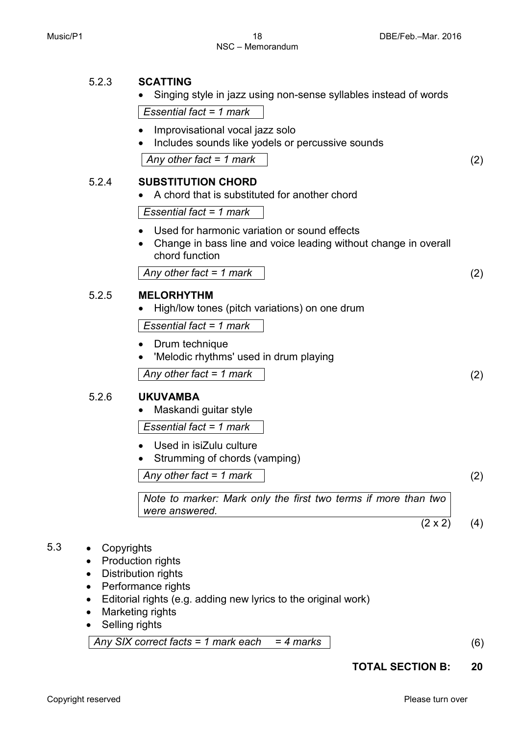|       | Singing style in jazz using non-sense syllables instead of words                                                                  |                   |
|-------|-----------------------------------------------------------------------------------------------------------------------------------|-------------------|
|       | Essential fact = $1$ mark                                                                                                         |                   |
|       | Improvisational vocal jazz solo<br>Includes sounds like yodels or percussive sounds<br>$\bullet$<br>Any other fact = 1 mark       | $\left( 2\right)$ |
| 5.2.4 | <b>SUBSTITUTION CHORD</b><br>A chord that is substituted for another chord                                                        |                   |
|       | Essential fact = 1 mark                                                                                                           |                   |
|       | Used for harmonic variation or sound effects<br>Change in bass line and voice leading without change in overall<br>chord function |                   |
|       | Any other fact = 1 mark                                                                                                           | (2)               |
| 5.2.5 | <b>MELORHYTHM</b>                                                                                                                 |                   |

• High/low tones (pitch variations) on one drum

*Essential fact = 1 mark*

- Drum technique
- 'Melodic rhythms' used in drum playing

*Any other fact = 1 mark* (2)

#### 5.2.6 **UKUVAMBA**

5.2.3 **SCATTING**

• Maskandi guitar style

*Essential fact = 1 mark*

- Used in isiZulu culture
- Strumming of chords (vamping)

*Any other fact = 1 mark* (2)

*Note to marker: Mark only the first two terms if more than two were answered.*

 $(2 \times 2)$  (4)

### 5.3 • Copyrights

- Production rights
- Distribution rights
- Performance rights
- Editorial rights (e.g. adding new lyrics to the original work)
- Marketing rights
- Selling rights

*Any SIX correct facts = 1 mark each = 4 marks* (6)

**TOTAL SECTION B: 20**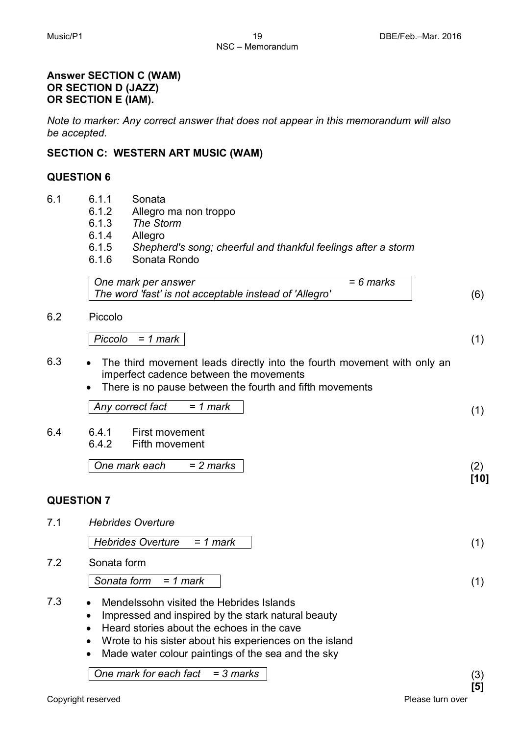#### **Answer SECTION C (WAM) OR SECTION D (JAZZ) OR SECTION E (IAM).**

*Note to marker: Any correct answer that does not appear in this memorandum will also be accepted.*

#### **SECTION C: WESTERN ART MUSIC (WAM)**

#### **QUESTION 6**

- 6.1 6.1.1 Sonata
	- 6.1.2 Allegro ma non troppo
	- 6.1.3 *The Storm*
	- 6.1.4 Allegro<br>6.1.5 Shephe
	- 6.1.5 *Shepherd's song; cheerful and thankful feelings after a storm*
	- Sonata Rondo

| One mark per answer                                    | $= 6$ marks |     |
|--------------------------------------------------------|-------------|-----|
| The word 'fast' is not acceptable instead of 'Allegro' |             | (6) |

6.2 Piccolo

*Piccolo = 1 mark* (1)

- 6.3 The third movement leads directly into the fourth movement with only an imperfect cadence between the movements
	- There is no pause between the fourth and fifth movements

*Any correct fact = 1 mark* (1)

6.4 6.4.1 First movement<br>6.4.2 Fifth movement Fifth movement

*One mark each = 2 marks* (2)

#### **QUESTION 7**

7.1 *Hebrides Overture*

*Hebrides Overture = 1 mark* (1)

7.2 Sonata form

*Sonata form = 1 mark* (1)

- 7.3 Mendelssohn visited the Hebrides Islands
	- Impressed and inspired by the stark natural beauty
	- Heard stories about the echoes in the cave
	- Wrote to his sister about his experiences on the island
	- Made water colour paintings of the sea and the sky

*One mark for each fact = 3 marks* (3)

**[10]**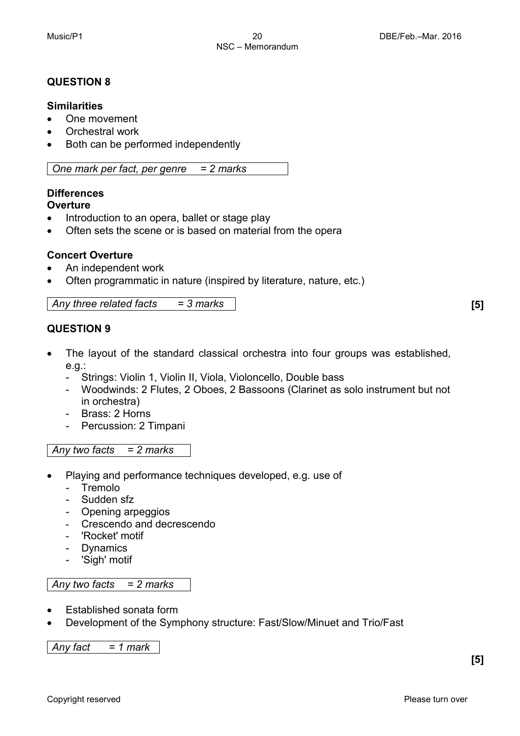#### **QUESTION 8**

#### **Similarities**

- One movement
- Orchestral work
- Both can be performed independently

*One mark per fact, per genre = 2 marks*

## **Differences**

#### **Overture**

- Introduction to an opera, ballet or stage play
- Often sets the scene or is based on material from the opera

#### **Concert Overture**

- An independent work
- Often programmatic in nature (inspired by literature, nature, etc.)

*Any three related facts = 3 marks* **[5]**

#### **QUESTION 9**

- The layout of the standard classical orchestra into four groups was established, e.g.:
	- Strings: Violin 1, Violin II, Viola, Violoncello, Double bass
	- Woodwinds: 2 Flutes, 2 Oboes, 2 Bassoons (Clarinet as solo instrument but not in orchestra)
	- Brass: 2 Horns
	- Percussion: 2 Timpani

#### *Any two facts = 2 marks*

- Playing and performance techniques developed, e.g. use of
	- Tremolo
	- Sudden sfz
	- Opening arpeggios
	- Crescendo and decrescendo
	- 'Rocket' motif
	- Dynamics
	- 'Sigh' motif

#### *Any two facts = 2 marks*

- Established sonata form
- Development of the Symphony structure: Fast/Slow/Minuet and Trio/Fast

*Any fact = 1 mark*

**[5]**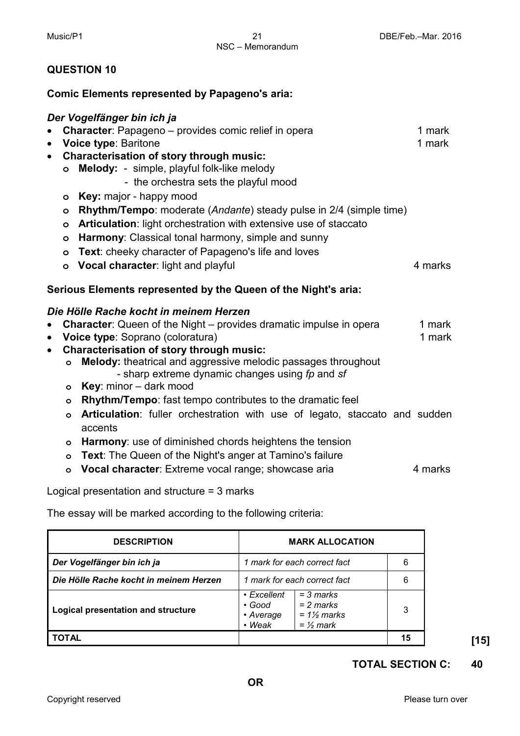#### **QUESTION 10**

#### **Comic Elements represented by Papageno's aria:**

#### *Der Vogelfänger bin ich ja*

- **Character**: Papageno provides comic relief in opera 1 mark<br>• Voice type: Baritone 1 mark
- Voice type: Baritone
- **Characterisation of story through music:** 
	- **o Melody:**  simple, playful folk-like melody
		- the orchestra sets the playful mood
	- **o Key:** major happy mood
	- **o Rhythm/Tempo**: moderate (*Andante*) steady pulse in 2/4 (simple time)
	- **o Articulation**: light orchestration with extensive use of staccato
	- **o Harmony**: Classical tonal harmony, simple and sunny
	- **o Text**: cheeky character of Papageno's life and loves
	- **o Vocal character**: light and playful **4 marks** 4 marks

#### **Serious Elements represented by the Queen of the Night's aria:**

#### *Die Hölle Rache kocht in meinem Herzen*

- **Character**: Queen of the Night provides dramatic impulse in opera 1 mark
- **Voice type**: Soprano (coloratura) 1 mark
- **Characterisation of story through music:**
	- **o Melody:** theatrical and aggressive melodic passages throughout - sharp extreme dynamic changes using *fp* and *sf*
	- **o Key**: minor dark mood
	- **o Rhythm/Tempo**: fast tempo contributes to the dramatic feel
	- **o Articulation**: fuller orchestration with use of legato, staccato and sudden accents
	- **o Harmony**: use of diminished chords heightens the tension
	- **o Text**: The Queen of the Night's anger at Tamino's failure
	- **o Vocal character**: Extreme vocal range; showcase aria 4 marks

Logical presentation and structure = 3 marks

The essay will be marked according to the following criteria:

| <b>DESCRIPTION</b>                        | <b>MARK ALLOCATION</b>                                                                                                         |    |
|-------------------------------------------|--------------------------------------------------------------------------------------------------------------------------------|----|
| Der Vogelfänger bin ich ja                | mark for each correct fact                                                                                                     | 6  |
| Die Hölle Rache kocht in meinem Herzen    | 1 mark for each correct fact                                                                                                   | 6  |
| <b>Logical presentation and structure</b> | $=$ 3 marks<br>$\cdot$ Excellent<br>$= 2$ marks<br>$\cdot$ Good<br>$= 1\frac{1}{2}$ marks<br>Average<br>$=$ 1/2 mark<br>• Weak | 3  |
| TOTAL                                     |                                                                                                                                | 15 |

#### **TOTAL SECTION C: 40**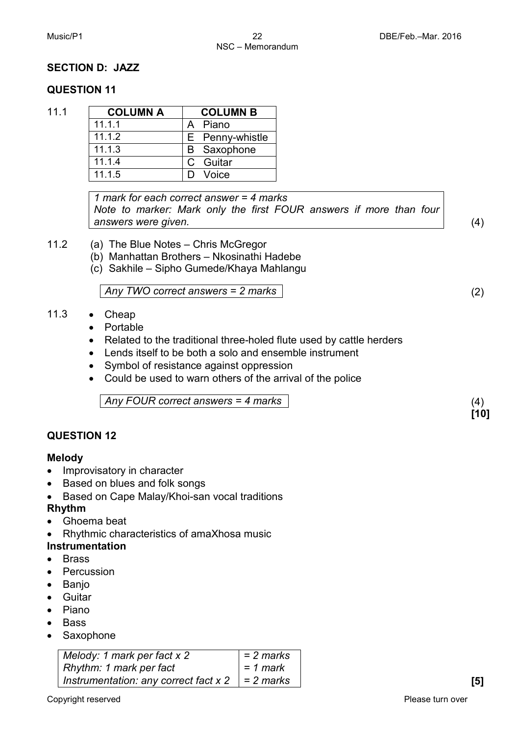#### **SECTION D: JAZZ**

#### **QUESTION 11**

| 11.1 | <b>COLUMN A</b> | <b>COLUMN B</b>    |
|------|-----------------|--------------------|
|      | 11.1.1          | A Piano            |
|      | 11.1.2          | E Penny-whistle    |
|      | 11.1.3          | <b>B</b> Saxophone |
|      | 11.1.4          | C Guitar           |
|      | 11.1.5          | Voice              |

*1 mark for each correct answer = 4 marks Note to marker: Mark only the first FOUR answers if more than four answers were given.* (4)

**[10]**

- 11.2 (a) The Blue Notes Chris McGregor
	- (b) Manhattan Brothers Nkosinathi Hadebe
	- (c) Sakhile Sipho Gumede/Khaya Mahlangu

*Any TWO correct answers = 2 marks* (2)

#### 11.3 • Cheap

- Portable
- Related to the traditional three-holed flute used by cattle herders
- Lends itself to be both a solo and ensemble instrument
- Symbol of resistance against oppression
- Could be used to warn others of the arrival of the police

*Any FOUR correct answers = 4 marks* (4)

#### **QUESTION 12**

#### **Melody**

- Improvisatory in character
- Based on blues and folk songs
- Based on Cape Malay/Khoi-san vocal traditions

#### **Rhythm**

- Ghoema beat
- Rhythmic characteristics of amaXhosa music

#### **Instrumentation**

- Brass
- **Percussion**
- Banjo
- Guitar
- Piano
- Bass
- Saxophone

| Melody: 1 mark per fact x 2                         | = 2 marks |  |
|-----------------------------------------------------|-----------|--|
| Rhythm: 1 mark per fact                             | = 1 mark  |  |
| Instrumentation: any correct fact $x 2$   = 2 marks |           |  |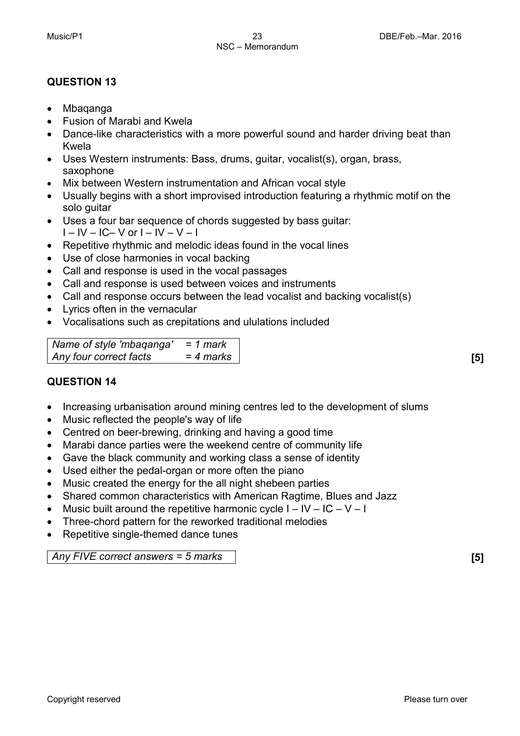#### **QUESTION 13**

- Mbaqanga
- Fusion of Marabi and Kwela
- Dance-like characteristics with a more powerful sound and harder driving beat than Kwela
- Uses Western instruments: Bass, drums, guitar, vocalist(s), organ, brass, saxophone
- Mix between Western instrumentation and African vocal style
- Usually begins with a short improvised introduction featuring a rhythmic motif on the solo guitar
- Uses a four bar sequence of chords suggested by bass guitar:  $I - IV - IC - V$  or  $I - IV - V - I$
- Repetitive rhythmic and melodic ideas found in the vocal lines
- Use of close harmonies in vocal backing
- Call and response is used in the vocal passages
- Call and response is used between voices and instruments
- Call and response occurs between the lead vocalist and backing vocalist(s)
- Lyrics often in the vernacular
- Vocalisations such as crepitations and ululations included

*Name of style 'mbaqanga' = 1 mark Any four correct facts = 4 marks* **[5]**

#### **QUESTION 14**

- Increasing urbanisation around mining centres led to the development of slums
- Music reflected the people's way of life
- Centred on beer-brewing, drinking and having a good time
- Marabi dance parties were the weekend centre of community life
- Gave the black community and working class a sense of identity
- Used either the pedal-organ or more often the piano
- Music created the energy for the all night shebeen parties
- Shared common characteristics with American Ragtime, Blues and Jazz
- Music built around the repetitive harmonic cycle  $I IV IC V I$
- Three-chord pattern for the reworked traditional melodies
- Repetitive single-themed dance tunes

#### *Any FIVE correct answers = 5 marks* **[5]**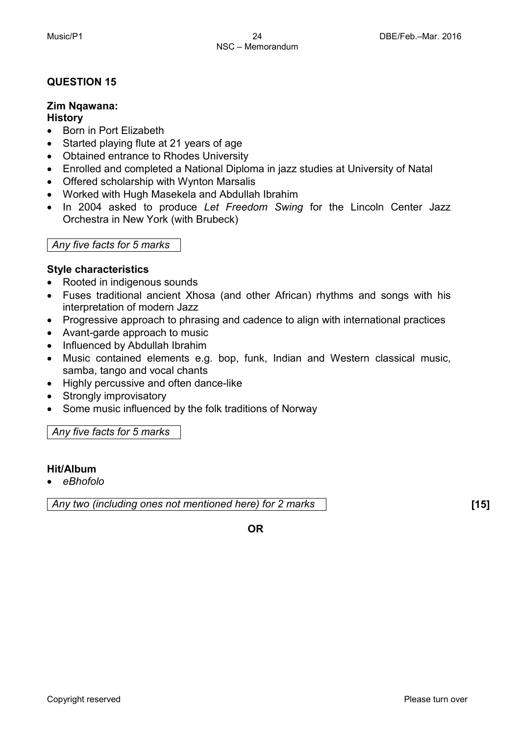#### **QUESTION 15**

#### **Zim Nqawana:**

#### **History**

- Born in Port Elizabeth
- Started playing flute at 21 years of age
- Obtained entrance to Rhodes University
- Enrolled and completed a National Diploma in jazz studies at University of Natal
- Offered scholarship with Wynton Marsalis
- Worked with Hugh Masekela and Abdullah Ibrahim
- In 2004 asked to produce *Let Freedom Swing* for the Lincoln Center Jazz Orchestra in New York (with Brubeck)

#### *Any five facts for 5 marks*

#### **Style characteristics**

- Rooted in indigenous sounds
- Fuses traditional ancient Xhosa (and other African) rhythms and songs with his interpretation of modern Jazz
- Progressive approach to phrasing and cadence to align with international practices
- Avant-garde approach to music
- Influenced by Abdullah Ibrahim
- Music contained elements e.g. bop, funk, Indian and Western classical music, samba, tango and vocal chants
- Highly percussive and often dance-like
- Strongly improvisatory
- Some music influenced by the folk traditions of Norway

#### *Any five facts for 5 marks*

#### **Hit/Album**

• *eBhofolo*

*Any two (including ones not mentioned here) for 2 marks* **[15]**

**OR**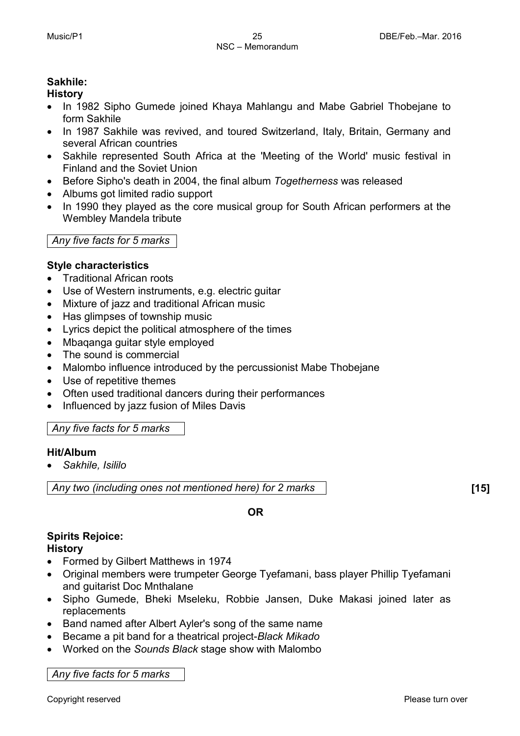#### **Sakhile:**

#### **History**

- In 1982 Sipho Gumede joined Khaya Mahlangu and Mabe Gabriel Thobejane to form Sakhile
- In 1987 Sakhile was revived, and toured Switzerland, Italy, Britain, Germany and several African countries
- Sakhile represented South Africa at the 'Meeting of the World' music festival in Finland and the Soviet Union
- Before Sipho's death in 2004, the final album *Togetherness* was released
- Albums got limited radio support
- In 1990 they played as the core musical group for South African performers at the Wembley Mandela tribute

#### *Any five facts for 5 marks*

#### **Style characteristics**

- Traditional African roots
- Use of Western instruments, e.g. electric guitar
- Mixture of jazz and traditional African music
- Has glimpses of township music
- Lyrics depict the political atmosphere of the times
- Mbaqanga guitar style employed
- The sound is commercial
- Malombo influence introduced by the percussionist Mabe Thobejane
- Use of repetitive themes
- Often used traditional dancers during their performances
- Influenced by jazz fusion of Miles Davis

#### *Any five facts for 5 marks*

#### **Hit/Album**

• *Sakhile, Isililo*

*Any two (including ones not mentioned here) for 2 marks* **[15]**

**OR**

## **Spirits Rejoice:**

**History**

- Formed by Gilbert Matthews in 1974
- Original members were trumpeter George Tyefamani, bass player Phillip Tyefamani and guitarist Doc Mnthalane
- Sipho Gumede, Bheki Mseleku, Robbie Jansen, Duke Makasi joined later as replacements
- Band named after Albert Ayler's song of the same name
- Became a pit band for a theatrical project-*Black Mikado*
- Worked on the *Sounds Black* stage show with Malombo

*Any five facts for 5 marks*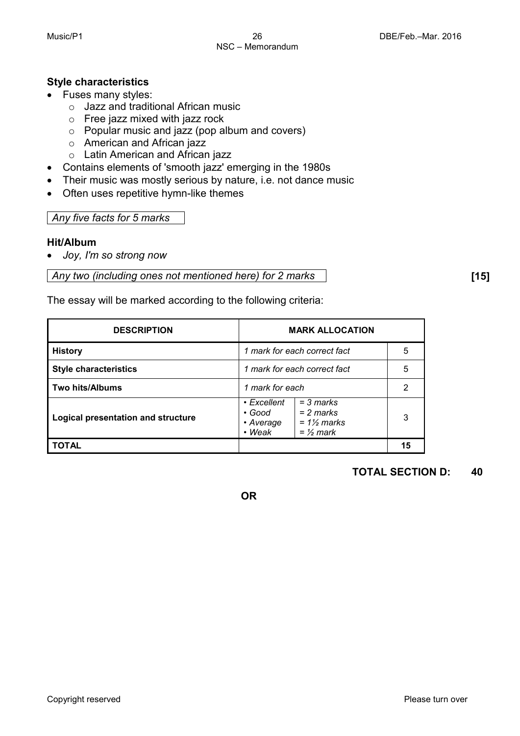#### **Style characteristics**

- Fuses many styles:
	- o Jazz and traditional African music
	- o Free jazz mixed with jazz rock
	- o Popular music and jazz (pop album and covers)
	- o American and African jazz
	- o Latin American and African jazz
- Contains elements of 'smooth jazz' emerging in the 1980s
- Their music was mostly serious by nature, i.e. not dance music
- Often uses repetitive hymn-like themes

#### *Any five facts for 5 marks*

#### **Hit/Album**

• *Joy, I'm so strong now*

*Any two (including ones not mentioned here) for 2 marks* **[15]**

The essay will be marked according to the following criteria:

| <b>DESCRIPTION</b>                 | <b>MARK ALLOCATION</b>                                                                                                     |    |
|------------------------------------|----------------------------------------------------------------------------------------------------------------------------|----|
| <b>History</b>                     | 1 mark for each correct fact                                                                                               | 5  |
| <b>Style characteristics</b>       | 1 mark for each correct fact                                                                                               | 5  |
| <b>Two hits/Albums</b>             | 1 mark for each                                                                                                            | 2  |
| Logical presentation and structure | $=$ 3 marks<br>$\cdot$ Excellent<br>$= 2$ marks<br>• Good<br>$= 1\frac{1}{2}$ marks<br>• Average<br>• Weak<br>$=$ 1/2 mark | 3  |
| <b>TOTAL</b>                       |                                                                                                                            | 15 |

#### **TOTAL SECTION D: 40**

**OR**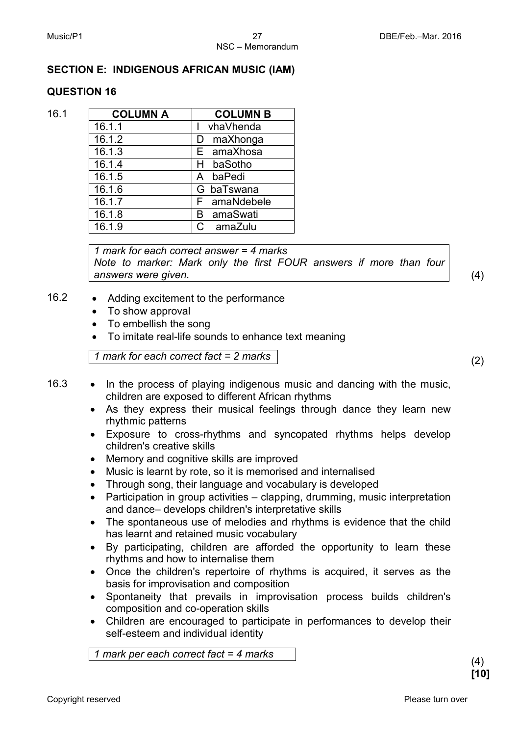#### **SECTION E: INDIGENOUS AFRICAN MUSIC (IAM)**

#### **QUESTION 16**

| 16.1 | <b>COLUMN A</b> | <b>COLUMN B</b> |
|------|-----------------|-----------------|
|      | 16.1.1          | vhaVhenda       |
|      | 16.1.2          | maXhonga<br>D   |
|      | 16.1.3          | E amaXhosa      |
|      | 16.1.4          | baSotho<br>H    |
|      | 16.1.5          | baPedi<br>A     |
|      | 16.1.6          | G baTswana      |
|      | 16.1.7          | F amaNdebele    |
|      | 16.1.8          | amaSwati<br>B   |
|      | 16.1.9          | C amaZulu       |

*1 mark for each correct answer = 4 marks Note to marker: Mark only the first FOUR answers if more than four answers were given.* (4)

- 16.2 Adding excitement to the performance
	- To show approval
	- To embellish the song
	- To imitate real-life sounds to enhance text meaning

*1 mark for each correct fact = 2 marks* (2)

- 16.3 In the process of playing indigenous music and dancing with the music, children are exposed to different African rhythms
	- As they express their musical feelings through dance they learn new rhythmic patterns
	- Exposure to cross-rhythms and syncopated rhythms helps develop children's creative skills
	- Memory and cognitive skills are improved
	- Music is learnt by rote, so it is memorised and internalised
	- Through song, their language and vocabulary is developed
	- Participation in group activities clapping, drumming, music interpretation and dance– develops children's interpretative skills
	- The spontaneous use of melodies and rhythms is evidence that the child has learnt and retained music vocabulary
	- By participating, children are afforded the opportunity to learn these rhythms and how to internalise them
	- Once the children's repertoire of rhythms is acquired, it serves as the basis for improvisation and composition
	- Spontaneity that prevails in improvisation process builds children's composition and co-operation skills
	- Children are encouraged to participate in performances to develop their self-esteem and individual identity

*1 mark per each correct fact = 4 marks* (4)

**[10]**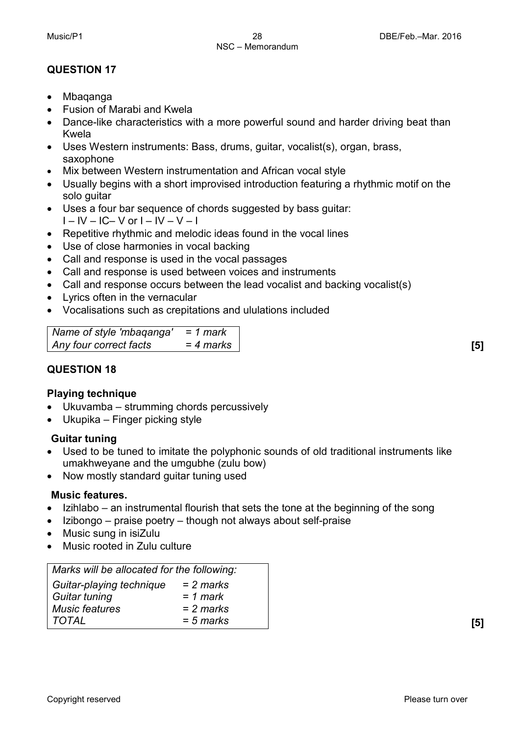### **QUESTION 17**

- Mbaqanga
- Fusion of Marabi and Kwela
- Dance-like characteristics with a more powerful sound and harder driving beat than Kwela
- Uses Western instruments: Bass, drums, guitar, vocalist(s), organ, brass, saxophone
- Mix between Western instrumentation and African vocal style
- Usually begins with a short improvised introduction featuring a rhythmic motif on the solo guitar
- Uses a four bar sequence of chords suggested by bass guitar: I – IV – IC– V or I – IV – V – I
- Repetitive rhythmic and melodic ideas found in the vocal lines
- Use of close harmonies in vocal backing
- Call and response is used in the vocal passages
- Call and response is used between voices and instruments
- Call and response occurs between the lead vocalist and backing vocalist(s)
- Lyrics often in the vernacular
- Vocalisations such as crepitations and ululations included

```
Name of style 'mbaqanga' = 1 mark
Any four correct facts = 4 marks [5]
```
### **QUESTION 18**

#### **Playing technique**

- Ukuvamba strumming chords percussively
- Ukupika Finger picking style

#### **Guitar tuning**

- Used to be tuned to imitate the polyphonic sounds of old traditional instruments like umakhweyane and the umgubhe (zulu bow)
- Now mostly standard guitar tuning used

#### **Music features.**

- Izihlabo an instrumental flourish that sets the tone at the beginning of the song
- Izibongo praise poetry though not always about self-praise
- Music sung in isiZulu
- Music rooted in Zulu culture

| Marks will be allocated for the following: |             |
|--------------------------------------------|-------------|
| Guitar-playing technique                   | $= 2$ marks |
| Guitar tuning                              | $= 1$ mark  |
| Music features                             | $= 2$ marks |
| TOTAL                                      | $= 5$ marks |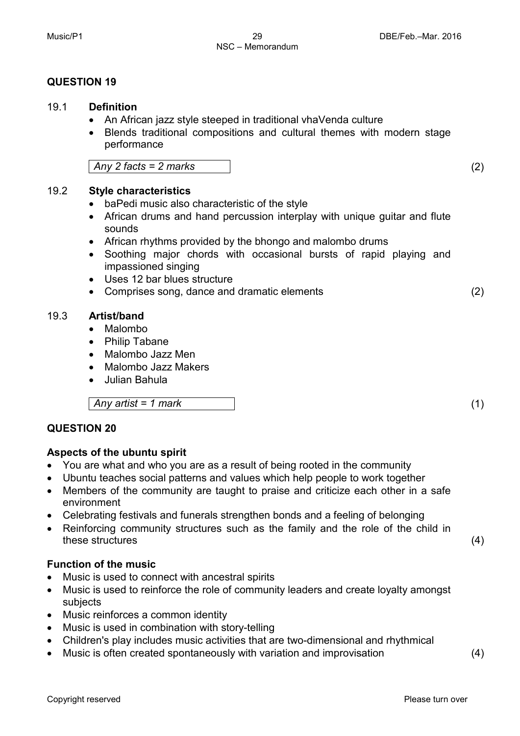#### Music/P1 29 29 DBE/Feb.–Mar. 2016 NSC – Memorandum

#### **QUESTION 19**

#### 19.1 **Definition**

- An African jazz style steeped in traditional vhaVenda culture
- Blends traditional compositions and cultural themes with modern stage performance

*Any 2 facts = 2 marks* (2)

#### 19.2 **Style characteristics**

- baPedi music also characteristic of the style
- African drums and hand percussion interplay with unique guitar and flute sounds
- African rhythms provided by the bhongo and malombo drums
- Soothing major chords with occasional bursts of rapid playing and impassioned singing
- Uses 12 bar blues structure
- Comprises song, dance and dramatic elements (2)

#### 19.3 **Artist/band**

- Malombo
- Philip Tabane
- Malombo Jazz Men
- Malombo Jazz Makers
- Julian Bahula

*Any artist = 1 mark* (1)

#### **QUESTION 20**

#### **Aspects of the ubuntu spirit**

- You are what and who you are as a result of being rooted in the community
- Ubuntu teaches social patterns and values which help people to work together
- Members of the community are taught to praise and criticize each other in a safe environment
- Celebrating festivals and funerals strengthen bonds and a feeling of belonging
- Reinforcing community structures such as the family and the role of the child in these structures (4)

#### **Function of the music**

- Music is used to connect with ancestral spirits
- Music is used to reinforce the role of community leaders and create loyalty amongst subjects
- Music reinforces a common identity
- Music is used in combination with story-telling
- Children's play includes music activities that are two-dimensional and rhythmical
- Music is often created spontaneously with variation and improvisation (4)